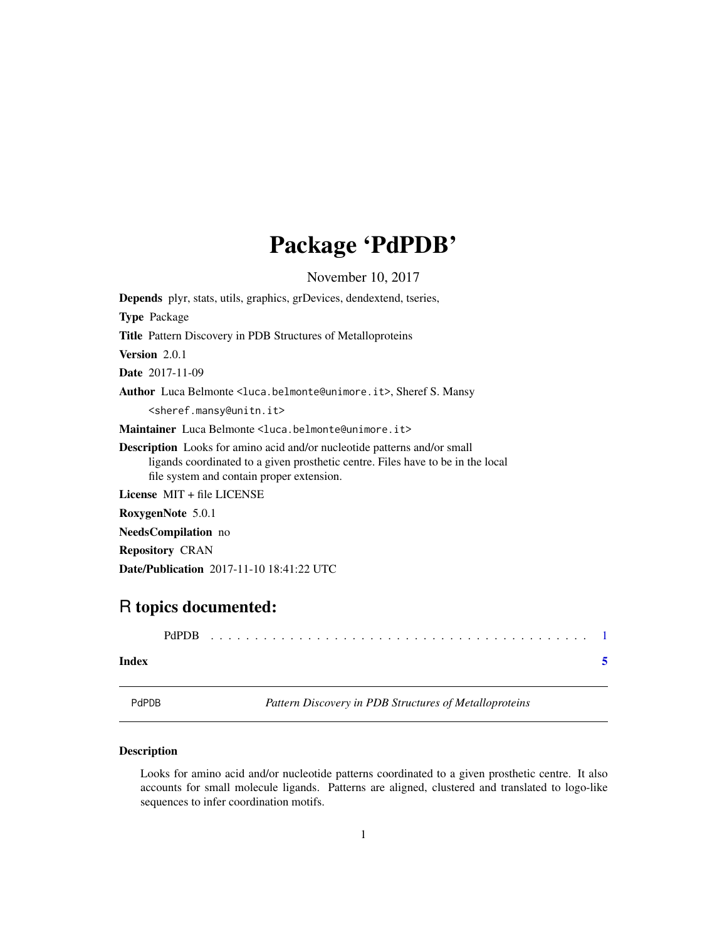## Package 'PdPDB'

<span id="page-0-0"></span>November 10, 2017 Depends plyr, stats, utils, graphics, grDevices, dendextend, tseries, Type Package Title Pattern Discovery in PDB Structures of Metalloproteins Version 2.0.1 Date 2017-11-09 Author Luca Belmonte <luca.belmonte@unimore.it>, Sheref S. Mansy <sheref.mansy@unitn.it> Maintainer Luca Belmonte<luca.belmonte@unimore.it> Description Looks for amino acid and/or nucleotide patterns and/or small ligands coordinated to a given prosthetic centre. Files have to be in the local file system and contain proper extension. License MIT + file LICENSE RoxygenNote 5.0.1 NeedsCompilation no Repository CRAN

### R topics documented:

Date/Publication 2017-11-10 18:41:22 UTC

|       | PdPDB |  |  |  |  |  |  |  |  |  |  |  |  |  |  |  |  |  |  |
|-------|-------|--|--|--|--|--|--|--|--|--|--|--|--|--|--|--|--|--|--|
| Index |       |  |  |  |  |  |  |  |  |  |  |  |  |  |  |  |  |  |  |

PdPDB *Pattern Discovery in PDB Structures of Metalloproteins*

#### **Description**

Looks for amino acid and/or nucleotide patterns coordinated to a given prosthetic centre. It also accounts for small molecule ligands. Patterns are aligned, clustered and translated to logo-like sequences to infer coordination motifs.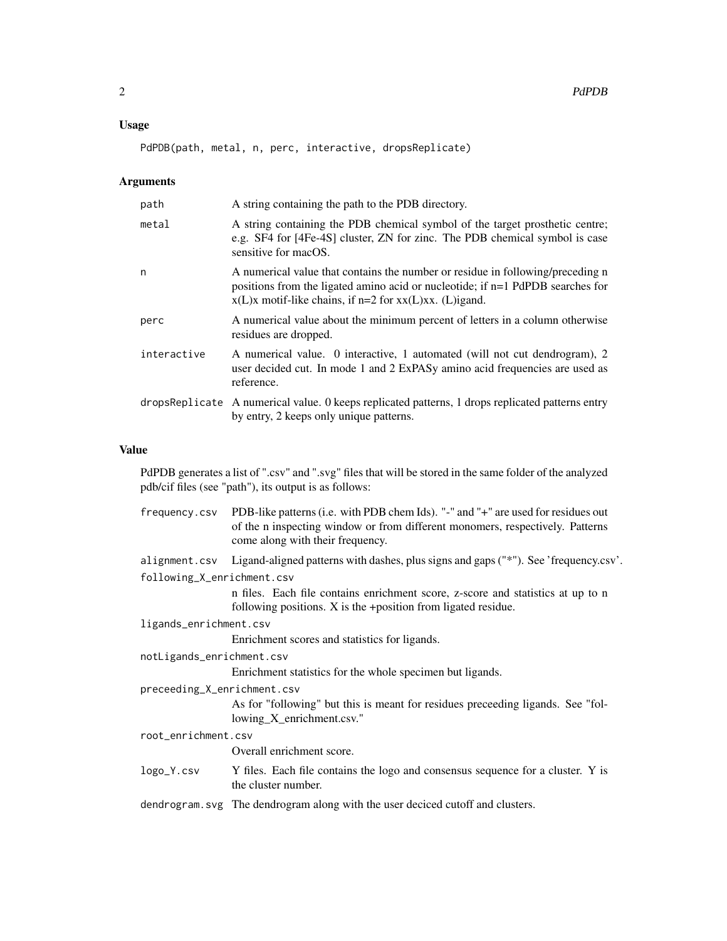#### Usage

PdPDB(path, metal, n, perc, interactive, dropsReplicate)

#### Arguments

| path        | A string containing the path to the PDB directory.                                                                                                                                                                                |
|-------------|-----------------------------------------------------------------------------------------------------------------------------------------------------------------------------------------------------------------------------------|
| metal       | A string containing the PDB chemical symbol of the target prosthetic centre;<br>e.g. SF4 for [4Fe-4S] cluster, ZN for zinc. The PDB chemical symbol is case<br>sensitive for macOS.                                               |
| n           | A numerical value that contains the number or residue in following/preceding n<br>positions from the ligated amino acid or nucleotide; if $n=1$ PdPDB searches for<br>$x(L)x$ motif-like chains, if n=2 for $xx(L)xx$ . (L)igand. |
| perc        | A numerical value about the minimum percent of letters in a column otherwise<br>residues are dropped.                                                                                                                             |
| interactive | A numerical value. 0 interactive, 1 automated (will not cut dendrogram), 2<br>user decided cut. In mode 1 and 2 ExPASy amino acid frequencies are used as<br>reference.                                                           |
|             | dropsReplicate A numerical value. 0 keeps replicated patterns, 1 drops replicated patterns entry<br>by entry, 2 keeps only unique patterns.                                                                                       |

#### Value

PdPDB generates a list of ".csv" and ".svg" files that will be stored in the same folder of the analyzed pdb/cif files (see "path"), its output is as follows:

|                             | frequency.csv PDB-like patterns (i.e. with PDB chem Ids). "-" and "+" are used for residues out<br>of the n inspecting window or from different monomers, respectively. Patterns<br>come along with their frequency. |
|-----------------------------|----------------------------------------------------------------------------------------------------------------------------------------------------------------------------------------------------------------------|
|                             | alignment.csv Ligand-aligned patterns with dashes, plus signs and gaps ("*"). See 'frequency.csv'.                                                                                                                   |
| following_X_enrichment.csv  |                                                                                                                                                                                                                      |
|                             | n files. Each file contains enrichment score, z-score and statistics at up to n<br>following positions. $X$ is the +position from ligated residue.                                                                   |
| ligands_enrichment.csv      |                                                                                                                                                                                                                      |
|                             | Enrichment scores and statistics for ligands.                                                                                                                                                                        |
| notLigands_enrichment.csv   |                                                                                                                                                                                                                      |
|                             | Enrichment statistics for the whole specimen but ligands.                                                                                                                                                            |
| preceeding_X_enrichment.csv |                                                                                                                                                                                                                      |
|                             | As for "following" but this is meant for residues preceeding ligands. See "fol-<br>lowing_X_enrichment.csv."                                                                                                         |
| root_enrichment.csv         |                                                                                                                                                                                                                      |
|                             | Overall enrichment score.                                                                                                                                                                                            |
| logo_Y.csv                  | Y files. Each file contains the logo and consensus sequence for a cluster. Y is<br>the cluster number.                                                                                                               |
|                             | dendrogram. svg The dendrogram along with the user deciced cutoff and clusters.                                                                                                                                      |
|                             |                                                                                                                                                                                                                      |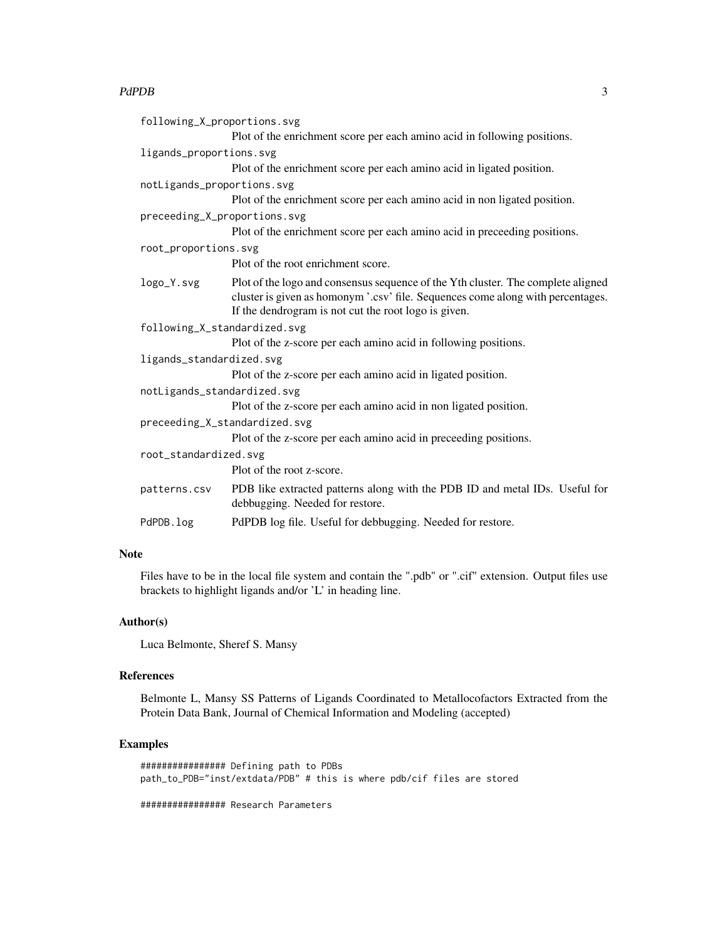#### PdPDB 3

| following_X_proportions.svg                                                                                                                                                                                                 |
|-----------------------------------------------------------------------------------------------------------------------------------------------------------------------------------------------------------------------------|
| Plot of the enrichment score per each amino acid in following positions.                                                                                                                                                    |
| ligands_proportions.svg                                                                                                                                                                                                     |
| Plot of the enrichment score per each amino acid in ligated position.                                                                                                                                                       |
| notLigands_proportions.svg                                                                                                                                                                                                  |
| Plot of the enrichment score per each amino acid in non ligated position.                                                                                                                                                   |
| preceeding_X_proportions.svg                                                                                                                                                                                                |
| Plot of the enrichment score per each amino acid in preceeding positions.                                                                                                                                                   |
| root_proportions.svg                                                                                                                                                                                                        |
| Plot of the root enrichment score.                                                                                                                                                                                          |
| Plot of the logo and consensus sequence of the Yth cluster. The complete aligned<br>cluster is given as homonym '.csv' file. Sequences come along with percentages.<br>If the dendrogram is not cut the root logo is given. |
| following_X_standardized.svg                                                                                                                                                                                                |
| Plot of the z-score per each amino acid in following positions.                                                                                                                                                             |
| ligands_standardized.svg                                                                                                                                                                                                    |
| Plot of the z-score per each amino acid in ligated position.                                                                                                                                                                |
| notLigands_standardized.svg                                                                                                                                                                                                 |
| Plot of the z-score per each amino acid in non ligated position.                                                                                                                                                            |
| preceeding_X_standardized.svg                                                                                                                                                                                               |
| Plot of the z-score per each amino acid in preceeding positions.                                                                                                                                                            |
| root_standardized.svg                                                                                                                                                                                                       |
| Plot of the root z-score.                                                                                                                                                                                                   |
| PDB like extracted patterns along with the PDB ID and metal IDs. Useful for<br>debbugging. Needed for restore.                                                                                                              |
| PdPDB log file. Useful for debbugging. Needed for restore.                                                                                                                                                                  |
|                                                                                                                                                                                                                             |

#### Note

Files have to be in the local file system and contain the ".pdb" or ".cif" extension. Output files use brackets to highlight ligands and/or 'L' in heading line.

#### Author(s)

Luca Belmonte, Sheref S. Mansy

#### References

Belmonte L, Mansy SS Patterns of Ligands Coordinated to Metallocofactors Extracted from the Protein Data Bank, Journal of Chemical Information and Modeling (accepted)

#### Examples

```
################ Defining path to PDBs
path_to_PDB="inst/extdata/PDB" # this is where pdb/cif files are stored
```
################ Research Parameters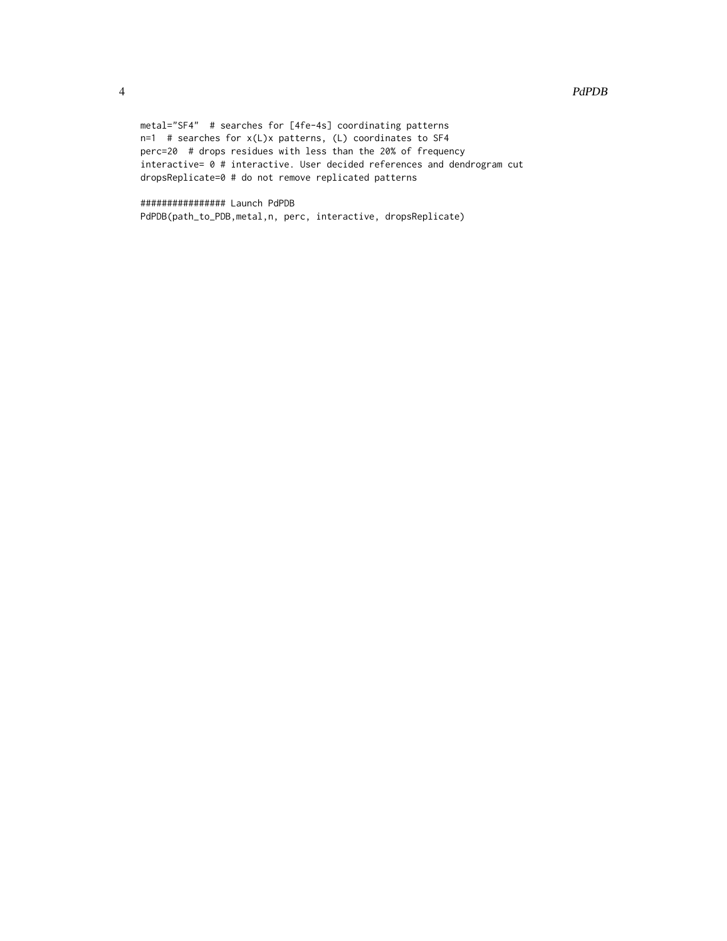```
metal="SF4" # searches for [4fe-4s] coordinating patterns
n=1 # searches for x(L)x patterns, (L) coordinates to SF4
perc=20 # drops residues with less than the 20% of frequency
interactive= 0 # interactive. User decided references and dendrogram cut
dropsReplicate=0 # do not remove replicated patterns
```
################ Launch PdPDB PdPDB(path\_to\_PDB,metal,n, perc, interactive, dropsReplicate)